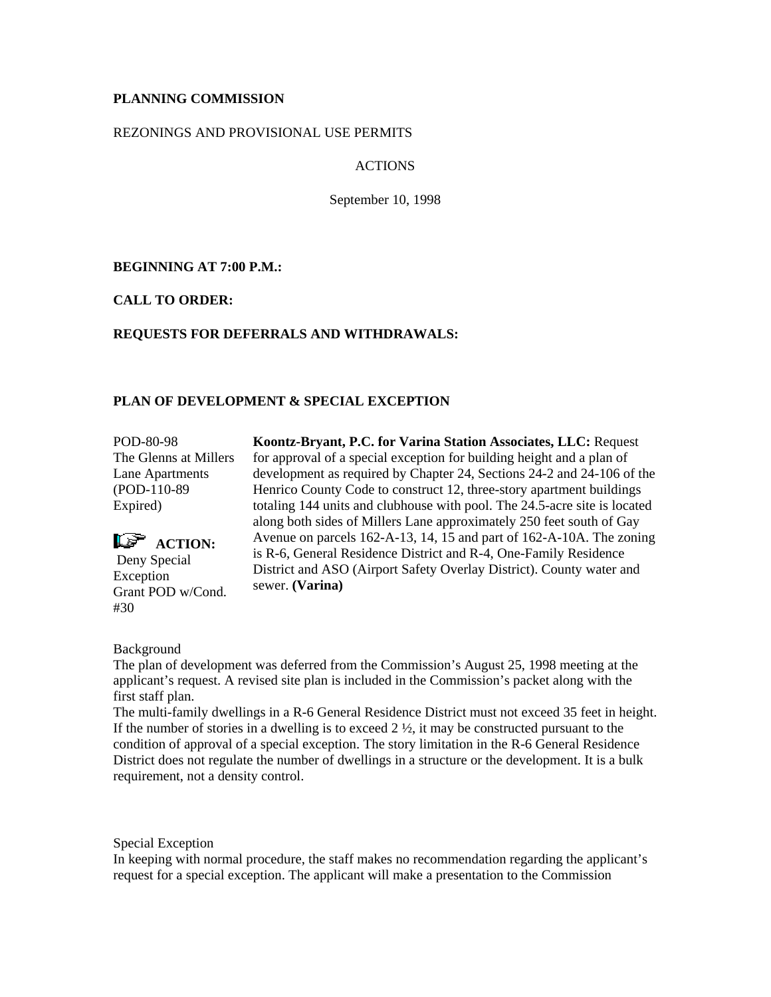# **PLANNING COMMISSION**

## REZONINGS AND PROVISIONAL USE PERMITS

# ACTIONS

September 10, 1998

**BEGINNING AT 7:00 P.M.:**

**CALL TO ORDER:**

# **REQUESTS FOR DEFERRALS AND WITHDRAWALS:**

# **PLAN OF DEVELOPMENT & SPECIAL EXCEPTION**

POD-80-98 The Glenns at Millers Lane Apartments (POD-110-89 Expired)



**Koontz-Bryant, P.C. for Varina Station Associates, LLC:** Request for approval of a special exception for building height and a plan of development as required by Chapter 24, Sections 24-2 and 24-106 of the Henrico County Code to construct 12, three-story apartment buildings totaling 144 units and clubhouse with pool. The 24.5-acre site is located along both sides of Millers Lane approximately 250 feet south of Gay Avenue on parcels 162-A-13, 14, 15 and part of 162-A-10A. The zoning is R-6, General Residence District and R-4, One-Family Residence District and ASO (Airport Safety Overlay District). County water and sewer. **(Varina)**

## Background

The plan of development was deferred from the Commission's August 25, 1998 meeting at the applicant's request. A revised site plan is included in the Commission's packet along with the first staff plan.

The multi-family dwellings in a R-6 General Residence District must not exceed 35 feet in height. If the number of stories in a dwelling is to exceed  $2 \frac{1}{2}$ , it may be constructed pursuant to the condition of approval of a special exception. The story limitation in the R-6 General Residence District does not regulate the number of dwellings in a structure or the development. It is a bulk requirement, not a density control.

Special Exception

In keeping with normal procedure, the staff makes no recommendation regarding the applicant's request for a special exception. The applicant will make a presentation to the Commission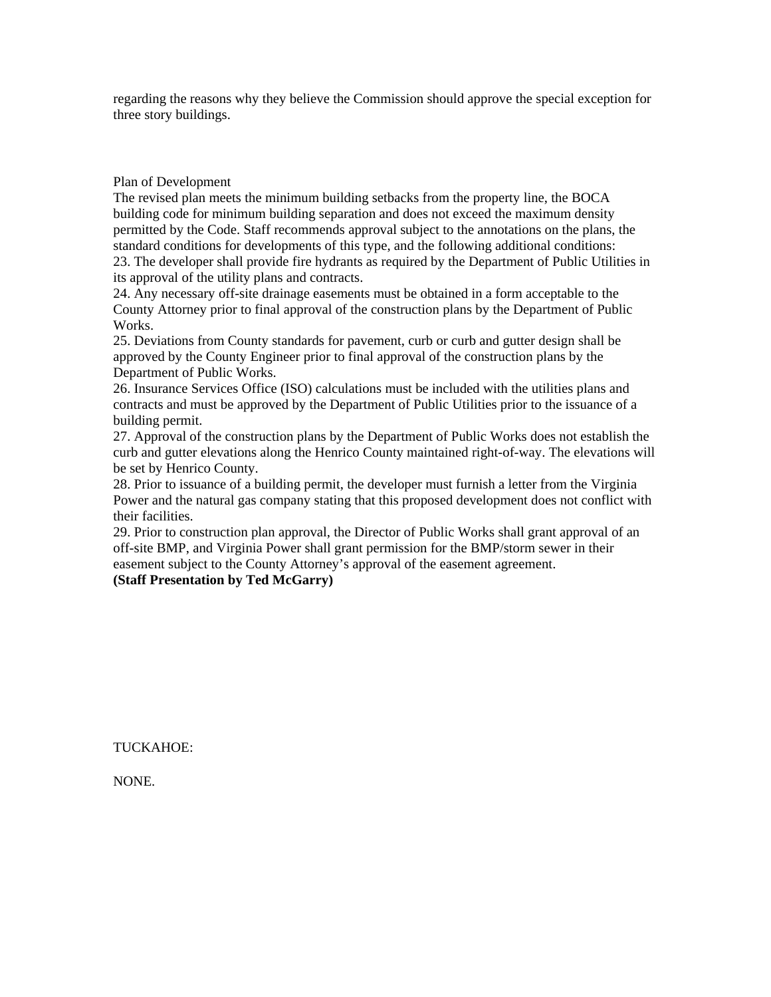regarding the reasons why they believe the Commission should approve the special exception for three story buildings.

## Plan of Development

The revised plan meets the minimum building setbacks from the property line, the BOCA building code for minimum building separation and does not exceed the maximum density permitted by the Code. Staff recommends approval subject to the annotations on the plans, the standard conditions for developments of this type, and the following additional conditions: 23. The developer shall provide fire hydrants as required by the Department of Public Utilities in its approval of the utility plans and contracts.

24. Any necessary off-site drainage easements must be obtained in a form acceptable to the County Attorney prior to final approval of the construction plans by the Department of Public Works.

25. Deviations from County standards for pavement, curb or curb and gutter design shall be approved by the County Engineer prior to final approval of the construction plans by the Department of Public Works.

26. Insurance Services Office (ISO) calculations must be included with the utilities plans and contracts and must be approved by the Department of Public Utilities prior to the issuance of a building permit.

27. Approval of the construction plans by the Department of Public Works does not establish the curb and gutter elevations along the Henrico County maintained right-of-way. The elevations will be set by Henrico County.

28. Prior to issuance of a building permit, the developer must furnish a letter from the Virginia Power and the natural gas company stating that this proposed development does not conflict with their facilities.

29. Prior to construction plan approval, the Director of Public Works shall grant approval of an off-site BMP, and Virginia Power shall grant permission for the BMP/storm sewer in their easement subject to the County Attorney's approval of the easement agreement. **(Staff Presentation by Ted McGarry)**

TUCKAHOE:

NONE.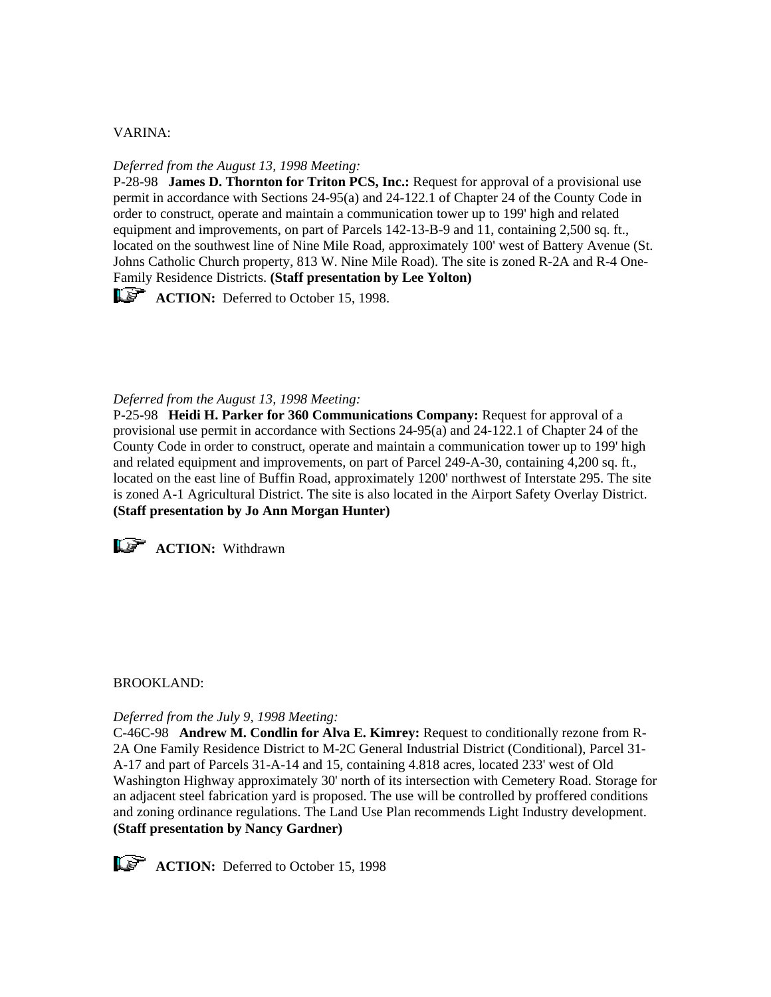## VARINA:

## *Deferred from the August 13, 1998 Meeting:*

P-28-98 **James D. Thornton for Triton PCS, Inc.:** Request for approval of a provisional use permit in accordance with Sections 24-95(a) and 24-122.1 of Chapter 24 of the County Code in order to construct, operate and maintain a communication tower up to 199' high and related equipment and improvements, on part of Parcels 142-13-B-9 and 11, containing 2,500 sq. ft., located on the southwest line of Nine Mile Road, approximately 100' west of Battery Avenue (St. Johns Catholic Church property, 813 W. Nine Mile Road). The site is zoned R-2A and R-4 One-Family Residence Districts. **(Staff presentation by Lee Yolton)**

**ACTION:** Deferred to October 15, 1998.

## *Deferred from the August 13, 1998 Meeting:*

P-25-98 **Heidi H. Parker for 360 Communications Company:** Request for approval of a provisional use permit in accordance with Sections 24-95(a) and 24-122.1 of Chapter 24 of the County Code in order to construct, operate and maintain a communication tower up to 199' high and related equipment and improvements, on part of Parcel 249-A-30, containing 4,200 sq. ft., located on the east line of Buffin Road, approximately 1200' northwest of Interstate 295. The site is zoned A-1 Agricultural District. The site is also located in the Airport Safety Overlay District. **(Staff presentation by Jo Ann Morgan Hunter)**



## BROOKLAND:

#### *Deferred from the July 9, 1998 Meeting:*

C-46C-98 **Andrew M. Condlin for Alva E. Kimrey:** Request to conditionally rezone from R-2A One Family Residence District to M-2C General Industrial District (Conditional), Parcel 31- A-17 and part of Parcels 31-A-14 and 15, containing 4.818 acres, located 233' west of Old Washington Highway approximately 30' north of its intersection with Cemetery Road. Storage for an adjacent steel fabrication yard is proposed. The use will be controlled by proffered conditions and zoning ordinance regulations. The Land Use Plan recommends Light Industry development. **(Staff presentation by Nancy Gardner)**



**ACTION:** Deferred to October 15, 1998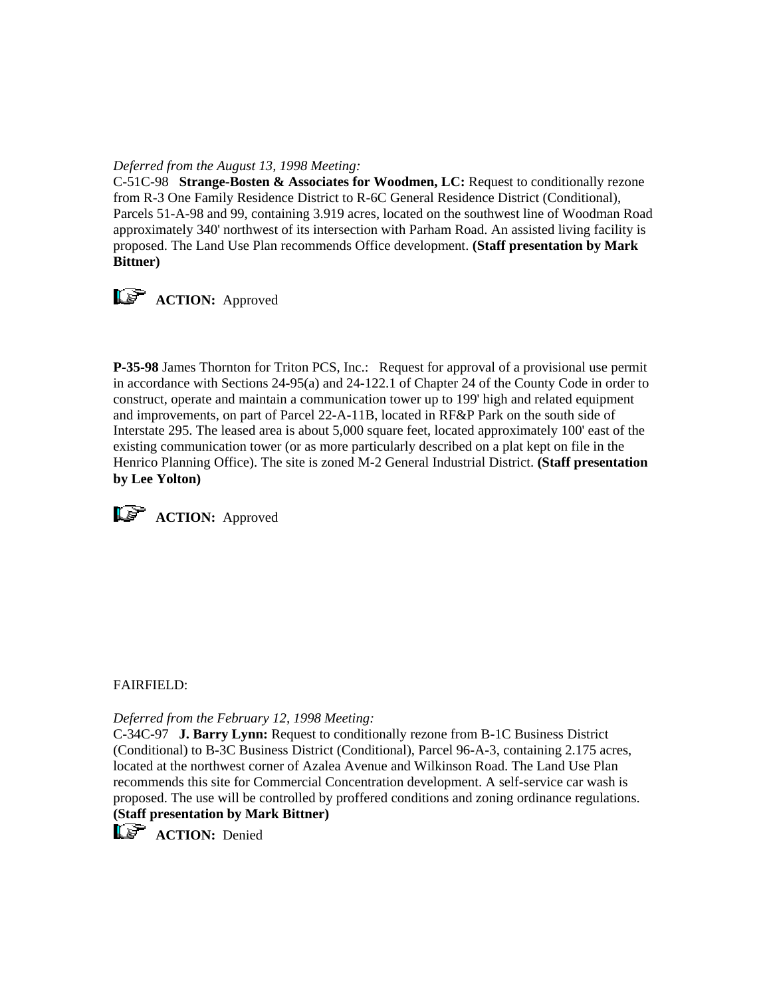# *Deferred from the August 13, 1998 Meeting:*

C-51C-98 **Strange-Bosten & Associates for Woodmen, LC:** Request to conditionally rezone from R-3 One Family Residence District to R-6C General Residence District (Conditional), Parcels 51-A-98 and 99, containing 3.919 acres, located on the southwest line of Woodman Road approximately 340' northwest of its intersection with Parham Road. An assisted living facility is proposed. The Land Use Plan recommends Office development. **(Staff presentation by Mark Bittner)**



**P-35-98** James Thornton for Triton PCS, Inc.: Request for approval of a provisional use permit in accordance with Sections 24-95(a) and 24-122.1 of Chapter 24 of the County Code in order to construct, operate and maintain a communication tower up to 199' high and related equipment and improvements, on part of Parcel 22-A-11B, located in RF&P Park on the south side of Interstate 295. The leased area is about 5,000 square feet, located approximately 100' east of the existing communication tower (or as more particularly described on a plat kept on file in the Henrico Planning Office). The site is zoned M-2 General Industrial District. **(Staff presentation by Lee Yolton)**



**ACTION:** Approved

## FAIRFIELD:

*Deferred from the February 12, 1998 Meeting:*

C-34C-97 **J. Barry Lynn:** Request to conditionally rezone from B-1C Business District (Conditional) to B-3C Business District (Conditional), Parcel 96-A-3, containing 2.175 acres, located at the northwest corner of Azalea Avenue and Wilkinson Road. The Land Use Plan recommends this site for Commercial Concentration development. A self-service car wash is proposed. The use will be controlled by proffered conditions and zoning ordinance regulations. **(Staff presentation by Mark Bittner)**

 $\widehat{\mathbb{Q}}^{\mathbb{Z}}$  **ACTION:** Denied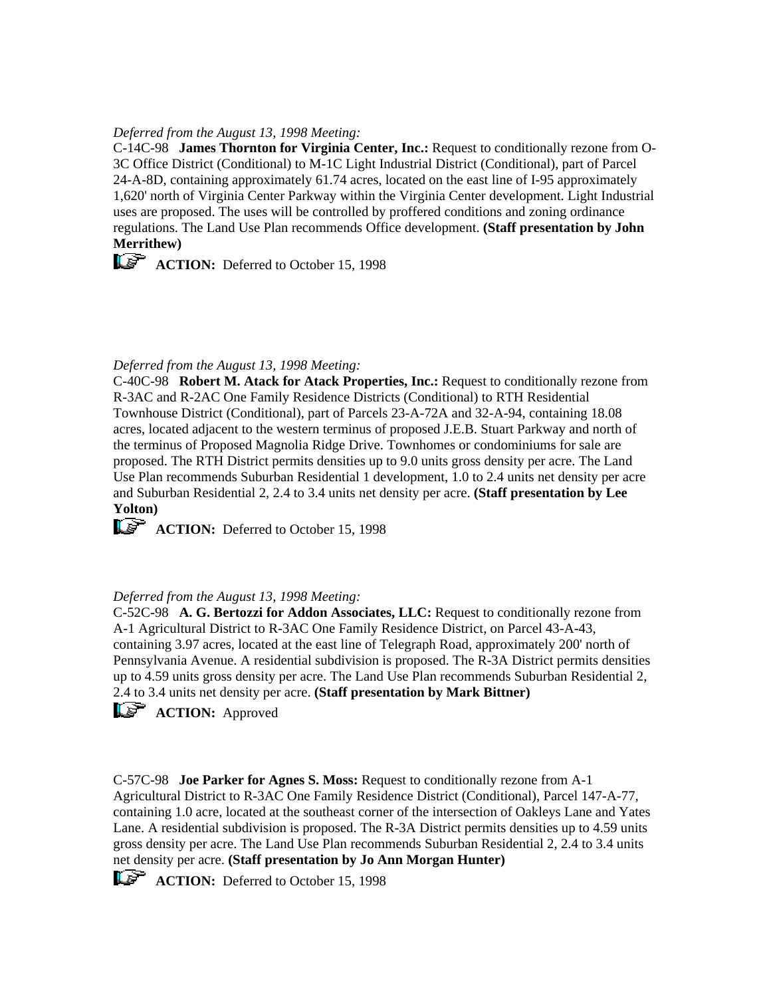## *Deferred from the August 13, 1998 Meeting:*

C-14C-98 **James Thornton for Virginia Center, Inc.:** Request to conditionally rezone from O-3C Office District (Conditional) to M-1C Light Industrial District (Conditional), part of Parcel 24-A-8D, containing approximately 61.74 acres, located on the east line of I-95 approximately 1,620' north of Virginia Center Parkway within the Virginia Center development. Light Industrial uses are proposed. The uses will be controlled by proffered conditions and zoning ordinance regulations. The Land Use Plan recommends Office development. **(Staff presentation by John Merrithew)**

**ACTION:** Deferred to October 15, 1998

## *Deferred from the August 13, 1998 Meeting:*

C-40C-98 **Robert M. Atack for Atack Properties, Inc.:** Request to conditionally rezone from R-3AC and R-2AC One Family Residence Districts (Conditional) to RTH Residential Townhouse District (Conditional), part of Parcels 23-A-72A and 32-A-94, containing 18.08 acres, located adjacent to the western terminus of proposed J.E.B. Stuart Parkway and north of the terminus of Proposed Magnolia Ridge Drive. Townhomes or condominiums for sale are proposed. The RTH District permits densities up to 9.0 units gross density per acre. The Land Use Plan recommends Suburban Residential 1 development, 1.0 to 2.4 units net density per acre and Suburban Residential 2, 2.4 to 3.4 units net density per acre. **(Staff presentation by Lee Yolton)**

**ACTION:** Deferred to October 15, 1998

## *Deferred from the August 13, 1998 Meeting:*

C-52C-98 **A. G. Bertozzi for Addon Associates, LLC:** Request to conditionally rezone from A-1 Agricultural District to R-3AC One Family Residence District, on Parcel 43-A-43, containing 3.97 acres, located at the east line of Telegraph Road, approximately 200' north of Pennsylvania Avenue. A residential subdivision is proposed. The R-3A District permits densities up to 4.59 units gross density per acre. The Land Use Plan recommends Suburban Residential 2, 2.4 to 3.4 units net density per acre. **(Staff presentation by Mark Bittner)**

**ACTION:** Approved

C-57C-98 **Joe Parker for Agnes S. Moss:** Request to conditionally rezone from A-1 Agricultural District to R-3AC One Family Residence District (Conditional), Parcel 147-A-77, containing 1.0 acre, located at the southeast corner of the intersection of Oakleys Lane and Yates Lane. A residential subdivision is proposed. The R-3A District permits densities up to 4.59 units gross density per acre. The Land Use Plan recommends Suburban Residential 2, 2.4 to 3.4 units net density per acre. **(Staff presentation by Jo Ann Morgan Hunter)**

**ACTION:** Deferred to October 15, 1998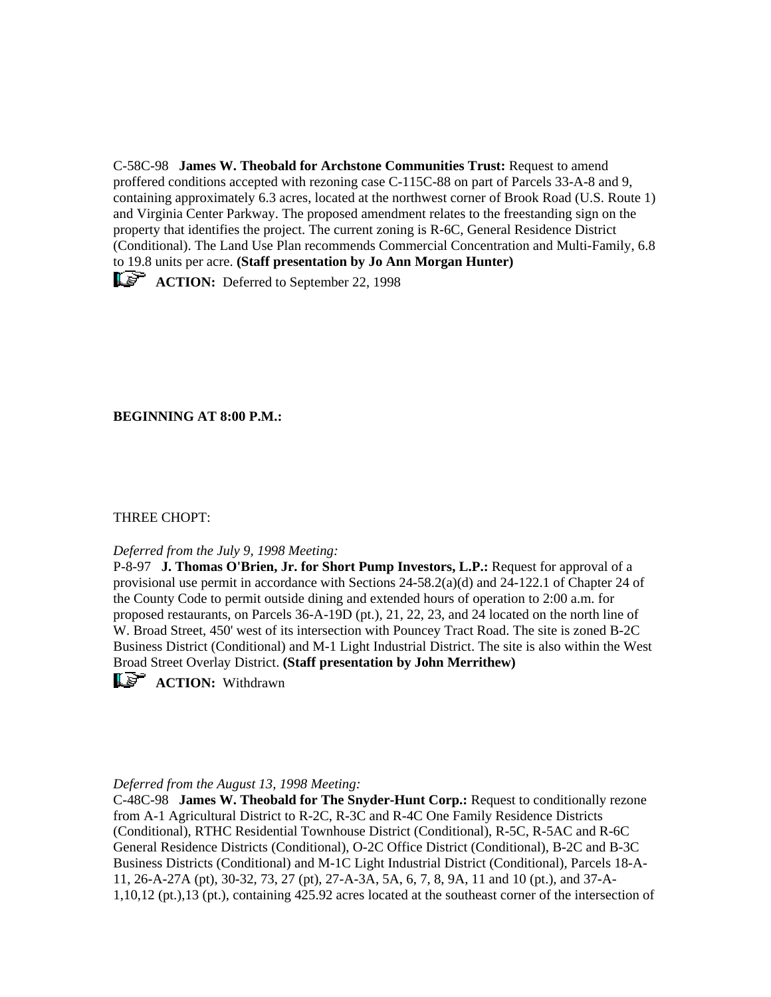C-58C-98 **James W. Theobald for Archstone Communities Trust:** Request to amend proffered conditions accepted with rezoning case C-115C-88 on part of Parcels 33-A-8 and 9, containing approximately 6.3 acres, located at the northwest corner of Brook Road (U.S. Route 1) and Virginia Center Parkway. The proposed amendment relates to the freestanding sign on the property that identifies the project. The current zoning is R-6C, General Residence District (Conditional). The Land Use Plan recommends Commercial Concentration and Multi-Family, 6.8 to 19.8 units per acre. **(Staff presentation by Jo Ann Morgan Hunter)**

**ACTION:** Deferred to September 22, 1998

**BEGINNING AT 8:00 P.M.:**

# THREE CHOPT:

## *Deferred from the July 9, 1998 Meeting:*

P-8-97 **J. Thomas O'Brien, Jr. for Short Pump Investors, L.P.:** Request for approval of a provisional use permit in accordance with Sections 24-58.2(a)(d) and 24-122.1 of Chapter 24 of the County Code to permit outside dining and extended hours of operation to 2:00 a.m. for proposed restaurants, on Parcels 36-A-19D (pt.), 21, 22, 23, and 24 located on the north line of W. Broad Street, 450' west of its intersection with Pouncey Tract Road. The site is zoned B-2C Business District (Conditional) and M-1 Light Industrial District. The site is also within the West Broad Street Overlay District. **(Staff presentation by John Merrithew)**

**LE** ACTION: Withdrawn

## *Deferred from the August 13, 1998 Meeting:*

C-48C-98 **James W. Theobald for The Snyder-Hunt Corp.:** Request to conditionally rezone from A-1 Agricultural District to R-2C, R-3C and R-4C One Family Residence Districts (Conditional), RTHC Residential Townhouse District (Conditional), R-5C, R-5AC and R-6C General Residence Districts (Conditional), O-2C Office District (Conditional), B-2C and B-3C Business Districts (Conditional) and M-1C Light Industrial District (Conditional), Parcels 18-A-11, 26-A-27A (pt), 30-32, 73, 27 (pt), 27-A-3A, 5A, 6, 7, 8, 9A, 11 and 10 (pt.), and 37-A-1,10,12 (pt.),13 (pt.), containing 425.92 acres located at the southeast corner of the intersection of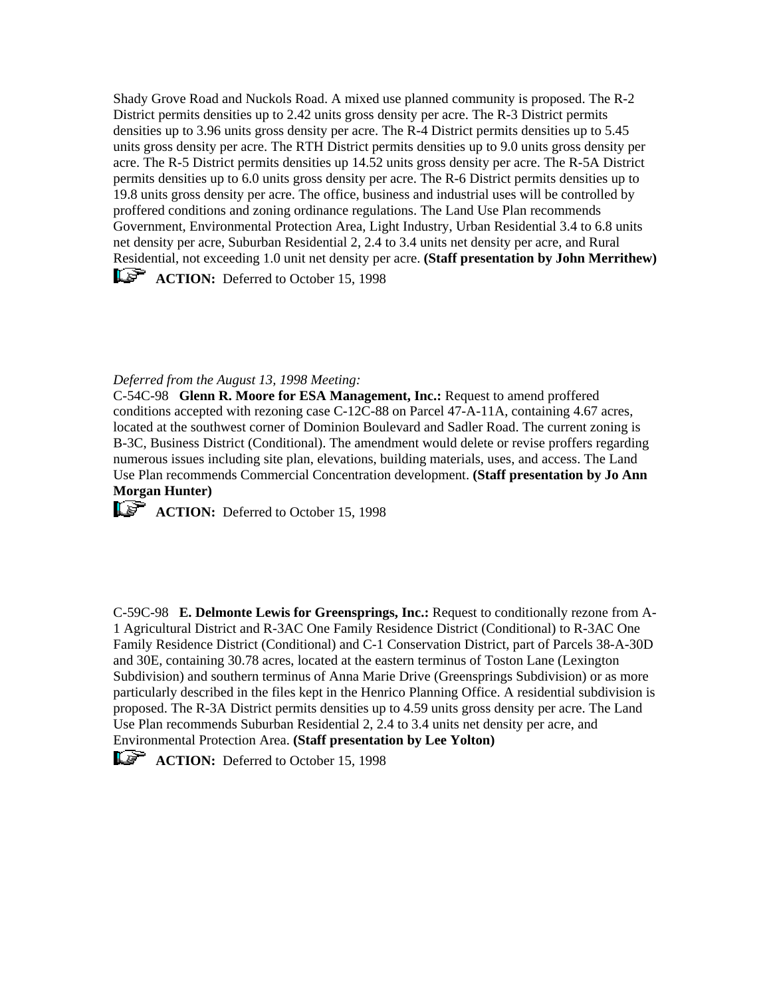Shady Grove Road and Nuckols Road. A mixed use planned community is proposed. The R-2 District permits densities up to 2.42 units gross density per acre. The R-3 District permits densities up to 3.96 units gross density per acre. The R-4 District permits densities up to 5.45 units gross density per acre. The RTH District permits densities up to 9.0 units gross density per acre. The R-5 District permits densities up 14.52 units gross density per acre. The R-5A District permits densities up to 6.0 units gross density per acre. The R-6 District permits densities up to 19.8 units gross density per acre. The office, business and industrial uses will be controlled by proffered conditions and zoning ordinance regulations. The Land Use Plan recommends Government, Environmental Protection Area, Light Industry, Urban Residential 3.4 to 6.8 units net density per acre, Suburban Residential 2, 2.4 to 3.4 units net density per acre, and Rural Residential, not exceeding 1.0 unit net density per acre. **(Staff presentation by John Merrithew)** 

**ACTION:** Deferred to October 15, 1998

## *Deferred from the August 13, 1998 Meeting:*

C-54C-98 **Glenn R. Moore for ESA Management, Inc.:** Request to amend proffered conditions accepted with rezoning case C-12C-88 on Parcel 47-A-11A, containing 4.67 acres, located at the southwest corner of Dominion Boulevard and Sadler Road. The current zoning is B-3C, Business District (Conditional). The amendment would delete or revise proffers regarding numerous issues including site plan, elevations, building materials, uses, and access. The Land Use Plan recommends Commercial Concentration development. **(Staff presentation by Jo Ann Morgan Hunter)**

**ACTION:** Deferred to October 15, 1998

C-59C-98 **E. Delmonte Lewis for Greensprings, Inc.:** Request to conditionally rezone from A-1 Agricultural District and R-3AC One Family Residence District (Conditional) to R-3AC One Family Residence District (Conditional) and C-1 Conservation District, part of Parcels 38-A-30D and 30E, containing 30.78 acres, located at the eastern terminus of Toston Lane (Lexington Subdivision) and southern terminus of Anna Marie Drive (Greensprings Subdivision) or as more particularly described in the files kept in the Henrico Planning Office. A residential subdivision is proposed. The R-3A District permits densities up to 4.59 units gross density per acre. The Land Use Plan recommends Suburban Residential 2, 2.4 to 3.4 units net density per acre, and Environmental Protection Area. **(Staff presentation by Lee Yolton)**

**ACTION:** Deferred to October 15, 1998